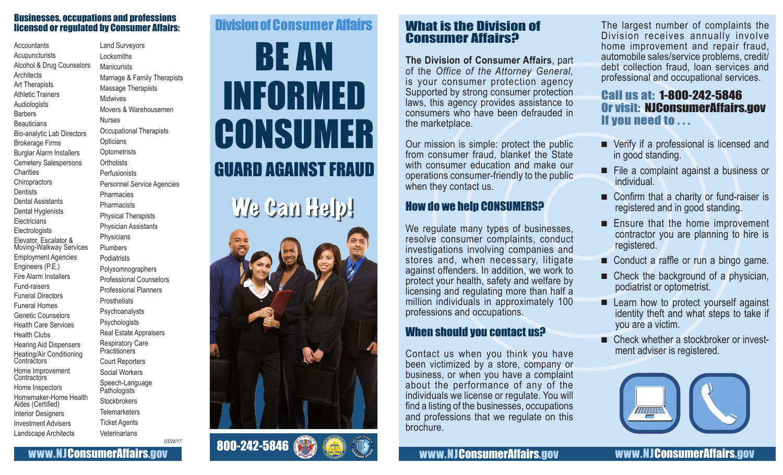#### Businesses, occupations and professions licensed or regulated by Consumer Affairs:

**Accountants** Acupuncturists Alcohol & Drug Counselors **Architects** Art Therapists Athletic Trainers Audiologists **Barbers Beauticians** Bio-analytic Lab Directors Brokerage Firms Burglar Alarm Installers Cemetery Salespersons **Charities Chiropractors Dentists** Dental Assistants Dental Hygienists **Electricians Electrologists** Elevator, Escalator & Moving-Walkway Services Employment Agencies Engineers (P.E.) Fire Alarm Installers Fund-raisers Funeral Directors Funeral Homes Genetic Counselors Health Care Services Health Clubs Hearing Aid Dispensers Heating/Air Conditioning **Contractors** Home Improvement **Contractors** Home Inspectors Homemaker-Home Health Aides (Certified) Interior Designers Investment Advisers Landscape Architects

Land Surveyors Locksmiths **Manicurists** Marriage & Family Therapists Massage Therapists Midwives Movers & Warehousemen Nurses Occupational Therapists **Opticians Optometrists Orthotists** Perfusionists Personnel Service Agencies Pharmacies **Pharmacists** Physical Therapists Physician Assistants **Physicians** Plumbers **Podiatrists** Polysomnographers Professional Counselors Professional Planners **Prosthetists** Psychoanalysts **Psychologists** Real Estate Appraisers Respiratory Care **Practitioners** Court Reporters Social Workers Speech-Language Pathologists **Stockbrokers Telemarketers** Ticket Agents **Veterinarians** 

*03/24/17*

www.NJConsumerAffairs.gov

# BE AN INFORMED **CONSUMER** GUARD AGAINST FRAUD Division of Consumer Affairs





# What is the Division of Consumer Affairs?

**The Division of Consumer Affairs**, part of the *Office of the Attorney General,* is your consumer protection agency Supported by strong consumer protection laws, this agency provides assistance to consumers who have been defrauded in the marketplace.

Our mission is simple: protect the public from consumer fraud, blanket the State with consumer education and make our operations consumer-friendly to the public when they contact us.

## How do we help CONSUMERS?

We regulate many types of businesses, resolve consumer complaints, conduct investigations involving companies and stores and, when necessary, litigate against offenders. In addition, we work to protect your health, safety and welfare by licensing and regulating more than half a million individuals in approximately 100 professions and occupations.

# When should you contact us?

Contact us when you think you have been victimized by a store, company or business, or when you have a complaint about the performance of any of the individuals we license or regulate. You will find a listing of the businesses, occupations and professions that we regulate on this brochure.

The largest number of complaints the Division receives annually involve home improvement and repair fraud, automobile sales/service problems, credit/ debt collection fraud, loan services and professional and occupational services.

## Call us at: 1-800-242-5846 Or visit: NJConsumerAffairs.gov If you need to . . .

- Verify if a professional is licensed and in good standing.
- File a complaint against a business or individual.
- Confirm that a charity or fund-raiser is registered and in good standing.
- Ensure that the home improvement contractor you are planning to hire is registered.
- Conduct a raffle or run a bingo game.
- Check the background of a physician, podiatrist or optometrist.
- Learn how to protect yourself against identity theft and what steps to take if you are a victim.
- Check whether a stockbroker or invest-<br>ment adviser is registered.



www.NJConsumerAffairs.gov www.NJConsumerAffairs.gov